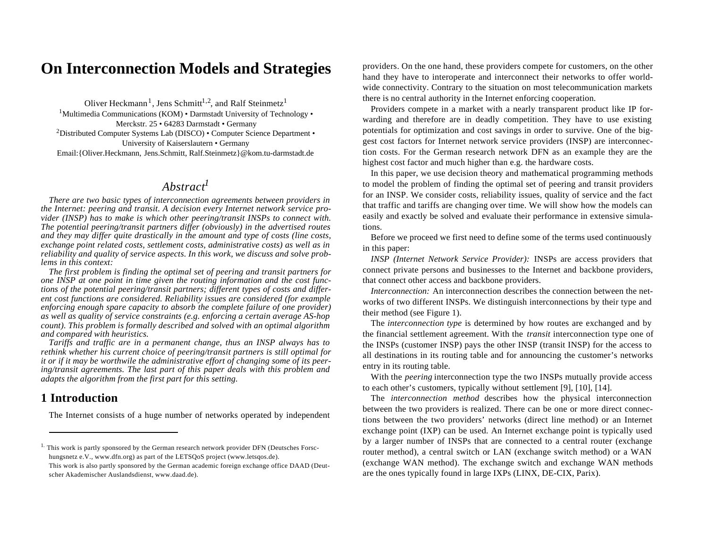# **On Interconnection Models and Strategies**

Oliver Heckmann<sup>1</sup>, Jens Schmitt<sup>1,2</sup>, and Ralf Steinmetz<sup>1</sup> <sup>1</sup>Multimedia Communications (KOM) • Darmstadt University of Technology • Merckstr. 25 • 64283 Darmstadt • Germany <sup>2</sup>Distributed Computer Systems Lab (DISCO) • Computer Science Department • University of Kaiserslautern • Germany Email:{Oliver.Heckmann, Jens.Schmitt, Ralf.Steinmetz}@kom.tu-darmstadt.de

## *Abstract<sup>1</sup>*

*There are two basic types of interconnection agreements between providers in the Internet: peering and transit. A decision every Internet network service provider (INSP) has to make is which other peering/transit INSPs to connect with. The potential peering/transit partners differ (obviously) in the advertised routes and they may differ quite drastically in the amount and type of costs (line costs, exchange point related costs, settlement costs, administrative costs) as well as in reliability and quality of service aspects. In this work, we discuss and solve problems in this context:*

*The first problem is finding the optimal set of peering and transit partners for one INSP at one point in time given the routing information and the cost functions of the potential peering/transit partners; different types of costs and different cost functions are considered. Reliability issues are considered (for example enforcing enough spare capacity to absorb the complete failure of one provider) as well as quality of service constraints (e.g. enforcing a certain average AS-hop count). This problem is formally described and solved with an optimal algorithm and compared with heuristics.*

*Tariffs and traffic are in a permanent change, thus an INSP always has to rethink whether his current choice of peering/transit partners is still optimal for it or if it may be worthwile the administrative effort of changing some of its peering/transit agreements. The last part of this paper deals with this problem and adapts the algorithm from the first part for this setting.*

## **1 Introduction**

The Internet consists of a huge number of networks operated by independent

providers. On the one hand, these providers compete for customers, on the other hand they have to interoperate and interconnect their networks to offer worldwide connectivity. Contrary to the situation on most telecommunication markets there is no central authority in the Internet enforcing cooperation.

Providers compete in a market with a nearly transparent product like IP forwarding and therefore are in deadly competition. They have to use existing potentials for optimization and cost savings in order to survive. One of the biggest cost factors for Internet network service providers (INSP) are interconnection costs. For the German research network DFN as an example they are the highest cost factor and much higher than e.g. the hardware costs.

In this paper, we use decision theory and mathematical programming methods to model the problem of finding the optimal set of peering and transit providers for an INSP. We consider costs, reliability issues, quality of service and the fact that traffic and tariffs are changing over time. We will show how the models can easily and exactly be solved and evaluate their performance in extensive simulations.

Before we proceed we first need to define some of the terms used continuously in this paper:

*INSP (Internet Network Service Provider):* INSPs are access providers that connect private persons and businesses to the Internet and backbone providers, that connect other access and backbone providers.

*Interconnection:* An interconnection describes the connection between the networks of two different INSPs. We distinguish interconnections by their type and their method (see Figure 1).

The *interconnection type* is determined by how routes are exchanged and by the financial settlement agreement. With the *transit* interconnection type one of the INSPs (customer INSP) pays the other INSP (transit INSP) for the access to all destinations in its routing table and for announcing the customer's networks entry in its routing table.

With the *peering* interconnection type the two INSPs mutually provide access to each other's customers, typically without settlement [9], [10], [14].

The *interconnection method* describes how the physical interconnection between the two providers is realized. There can be one or more direct connections between the two providers' networks (direct line method) or an Internet exchange point (IXP) can be used. An Internet exchange point is typically used by a larger number of INSPs that are connected to a central router (exchange router method), a central switch or LAN (exchange switch method) or a WAN (exchange WAN method). The exchange switch and exchange WAN methods are the ones typically found in large IXPs (LINX, DE-CIX, Parix).

<sup>&</sup>lt;sup>1.</sup> This work is partly sponsored by the German research network provider DFN (Deutsches Forschungsnetz e.V., www.dfn.org) as part of the LETSQoS project (www.letsqos.de). This work is also partly sponsored by the German academic foreign exchange office DAAD (Deut-

scher Akademischer Auslandsdienst, www.daad.de).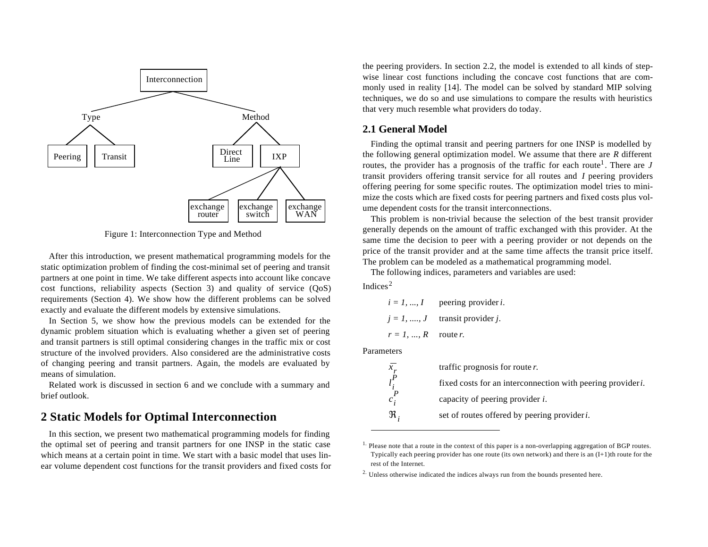

Figure 1: Interconnection Type and Method

After this introduction, we present mathematical programming models for the static optimization problem of finding the cost-minimal set of peering and transit partners at one point in time. We take different aspects into account like concave cost functions, reliability aspects (Section 3) and quality of service (QoS) requirements (Section 4). We show how the different problems can be solved exactly and evaluate the different models by extensive simulations.

In Section 5, we show how the previous models can be extended for the dynamic problem situation which is evaluating whether a given set of peering and transit partners is still optimal considering changes in the traffic mix or cost structure of the involved providers. Also considered are the administrative costs of changing peering and transit partners. Again, the models are evaluated by means of simulation.

Related work is discussed in section 6 and we conclude with a summary and brief outlook.

## **2 Static Models for Optimal Interconnection**

In this section, we present two mathematical programming models for finding the optimal set of peering and transit partners for one INSP in the static case which means at a certain point in time. We start with a basic model that uses linear volume dependent cost functions for the transit providers and fixed costs for

the peering providers. In section 2.2, the model is extended to all kinds of stepwise linear cost functions including the concave cost functions that are commonly used in reality [14]. The model can be solved by standard MIP solving techniques, we do so and use simulations to compare the results with heuristics that very much resemble what providers do today.

### **2.1 General Model**

Finding the optimal transit and peering partners for one INSP is modelled by the following general optimization model. We assume that there are *R* different routes, the provider has a prognosis of the traffic for each route<sup>1</sup>. There are  $J$ transit providers offering transit service for all routes and *I* peering providers offering peering for some specific routes. The optimization model tries to minimize the costs which are fixed costs for peering partners and fixed costs plus volume dependent costs for the transit interconnections.

This problem is non-trivial because the selection of the best transit provider generally depends on the amount of traffic exchanged with this provider. At the same time the decision to peer with a peering provider or not depends on the price of the transit provider and at the same time affects the transit price itself. The problem can be modeled as a mathematical programming model.

The following indices, parameters and variables are used:

Indices<sup>2</sup>

 $i = 1, ..., I$  peering provider *i*.  $j = 1, \ldots, J$  transit provider *j*.  $r = 1, \dots, R$  route *r*.

Parameters

|         | traffic prognosis for route $r$ .                                   |
|---------|---------------------------------------------------------------------|
|         | fixed costs for an interconnection with peering provider <i>i</i> . |
| $c_i$   | capacity of peering provider $i$ .                                  |
| $\Re$ . | set of routes offered by peering provider <i>i</i> .                |

<sup>&</sup>lt;sup>1.</sup> Please note that a route in the context of this paper is a non-overlapping aggregation of BGP routes. Typically each peering provider has one route (its own network) and there is an  $(I+1)$ th route for the rest of the Internet.

<sup>&</sup>lt;sup>2.</sup> Unless otherwise indicated the indices always run from the bounds presented here.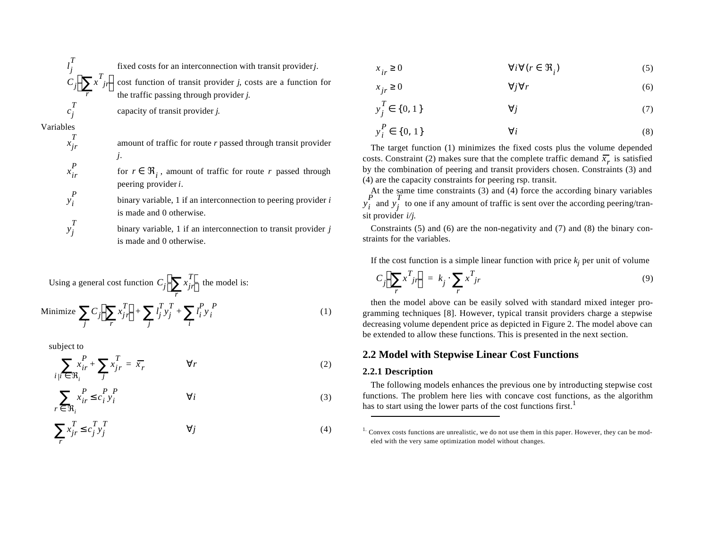$$
\begin{array}{c}\n l_j^T \\
C_j \left( \sum_r x^T_{jr} \right) \\
c_j^T\n\end{array}
$$

fixed costs for an interconnection with transit provider *j.*

cost function of transit provider *j*, costs are a function for the traffic passing through provider *j*.

capacity of transit provider *j.*

Variables

*x jr T*

*x ir P*

 $y_i$ *P*

*y j T*

amount of traffic for route *r* passed through transit provider *j.*

for  $r \in \Re_i$ , amount of traffic for route *r* passed through peering provider *i*.

binary variable, 1 if an interconnection to peering provider *i* is made and 0 otherwise.

binary variable, 1 if an interconnection to transit provider *j* is made and 0 otherwise.

Using a general cost function 
$$
C_j \left( \sum_r x_{jr}^T \right)
$$
 the model is:  
\nMinimize  $\sum_j C_j \left( \sum_r x_{jr}^T \right) + \sum_j l_j^T y_j^T + \sum_i l_i^P y_i^P$  (1)

subject to

$$
\sum_{i \mid i \in \mathfrak{R}_i} x_{ir}^P + \sum_j x_{jr}^T = \overline{x}_r \qquad \forall r
$$
 (2)

$$
\sum_{r \in \mathfrak{R}_i} x_{ir}^P \le c_i^P y_i^P \qquad \forall i
$$
 (3)

$$
\sum_{r} x_{jr}^{T} \le c_j^{T} y_j^{T} \qquad \qquad \forall j
$$
 (4)

(5)  $x_i \geq 0$  $i_r \geq 0$   $\forall i \forall (r \in \Re_i)$ 

$$
x_{jr} \ge 0 \qquad \qquad \forall j \forall r \tag{6}
$$

$$
y_j^T \in \{0, 1\} \qquad \qquad \forall j \tag{7}
$$

$$
y_i^P \in \{0, 1\} \qquad \qquad \forall i \tag{8}
$$

The target function (1) minimizes the fixed costs plus the volume depended costs. Constraint (2) makes sure that the complete traffic demand  $\overline{x}_r$  is satisfied by the combination of peering and transit providers chosen. Constraints (3) and (4) are the capacity constraints for peering rsp. transit.

At the same time constraints (3) and (4) force the according binary variables  $y_i^{\dagger}$  and  $y_j^{\dagger}$  to one if any amount of traffic is sent over the according peering/transit provider *i/j*.  $\frac{p}{i}$  and  $y_j^2$ *T*

Constraints (5) and (6) are the non-negativity and (7) and (8) the binary constraints for the variables.

If the cost function is a simple linear function with price  $k_j$  per unit of volume

$$
C_j \left( \sum_r x^T_{jr} \right) = k_j \cdot \sum_r x^T_{jr} \tag{9}
$$

then the model above can be easily solved with standard mixed integer programming techniques [8]. However, typical transit providers charge a stepwise decreasing volume dependent price as depicted in Figure 2. The model above can be extended to allow these functions. This is presented in the next section.

### **2.2 Model with Stepwise Linear Cost Functions**

#### **2.2.1 Description**

The following models enhances the previous one by introducting stepwise cost functions. The problem here lies with concave cost functions, as the algorithm has to start using the lower parts of the cost functions first.<sup>1</sup>

 $<sup>1</sup>$  Convex costs functions are unrealistic, we do not use them in this paper. However, they can be mod-</sup> eled with the very same optimization model without changes.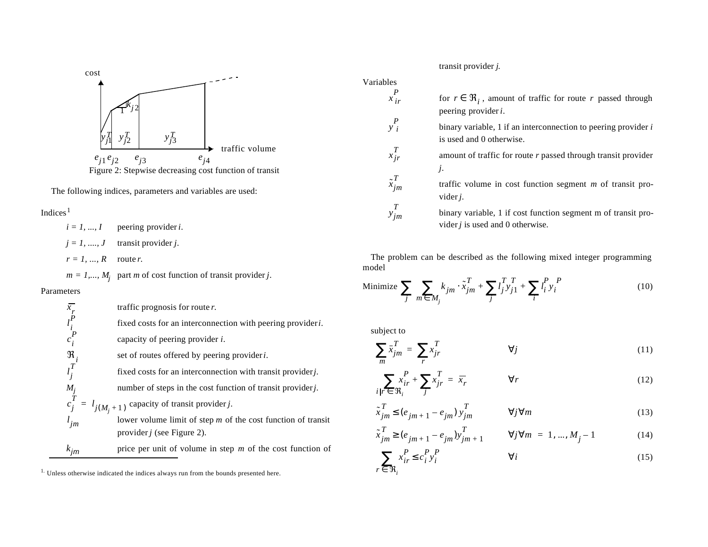

The following indices, parameters and variables are used:

#### Indices $1$

 $i = 1, ..., I$  peering provider *i*.  $j = 1, \ldots, J$  transit provider *j*.  $r = 1, ..., R$  route *r*.

 $m = 1, \dots, M_j$  part *m* of cost function of transit provider *j*.

#### Parameters

*x r l i P*

 $c_i^{\prime}$ *P*

ℜ*i l j T*

*Mj*

*l jm*

traffic prognosis for route *r.* fixed costs for an interconnection with peering provider *i.* capacity of peering provider *i.* set of routes offered by peering provider *i.* fixed costs for an interconnection with transit provider *j*. number of steps in the cost function of transit provider *j*.  $c_j^1 = l_{j(M_i + 1)}$  capacity of transit provider *j*. lower volume limit of step *m* of the cost function of transit provider *j* (see Figure 2). *kjm* price per unit of volume in step *m* of the cost function of  $\frac{T}{j} = l_{j(M_j + 1)}$ 

transit provider *j*.

for  $r \in \Re_i$ , amount of traffic for route *r* passed through peering provider *i*.

> binary variable, 1 if an interconnection to peering provider *i* is used and 0 otherwise.

amount of traffic for route *r* passed through transit provider *j.*

traffic volume in cost function segment *m* of transit provider *j.*

binary variable, 1 if cost function segment m of transit provider *j* is used and 0 otherwise.

The problem can be described as the following mixed integer programming model

Minimize 
$$
\sum_{j} \sum_{m \in M_j} k_{jm} \cdot \tilde{x}_{jm}^T + \sum_{j} l_j^T y_{j1}^T + \sum_{i} l_i^P y_i^P
$$
 (10)

subject to

Variables

 $\begin{bmatrix} P \\ x_i \end{bmatrix}$ 

*y i P*

 $\sum_{i=1}^{T}$ *jr*

*x*˜ *jm T*

*y jm T*

$$
\sum_{m} \bar{x}_{jm}^{T} = \sum_{r} x_{jr}^{T} \qquad \qquad \forall j \tag{11}
$$

$$
\sum_{i|r \in \mathfrak{R}_i} x_{ir}^P + \sum_j x_{jr}^T = \overline{x}_r \qquad \forall r
$$
 (12)

$$
\tilde{x}_{jm}^T \le (e_{jm+1} - e_{jm}) y_{jm}^T \qquad \forall j \forall m
$$
\n(13)

$$
\tilde{x}_{jm}^T \ge (e_{jm+1} - e_{jm}) y_{jm+1}^T \qquad \forall j \forall m = 1, ..., M_j - 1
$$
\n(14)

$$
\sum_{r \in \mathfrak{R}_i} x_{ir}^P \le c_i^P y_i^P \qquad \qquad \forall i
$$
 (15)

<sup>&</sup>lt;sup>1.</sup> Unless otherwise indicated the indices always run from the bounds presented here.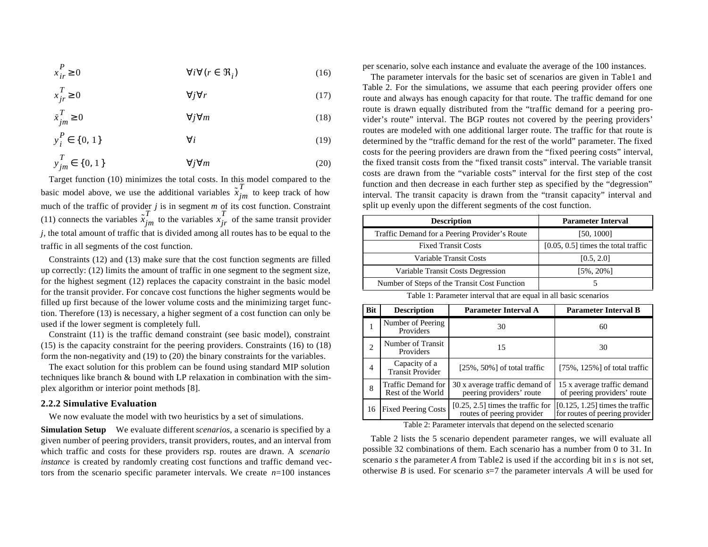$$
x_{ir}^P \ge 0 \qquad \qquad \forall i \forall (r \in \mathfrak{R}_i)
$$
 (16)

$$
x_{jr}^T \ge 0 \qquad \qquad \forall j \forall r \tag{17}
$$

$$
\bar{x}_{jm}^T \ge 0 \qquad \qquad \forall j \forall m \tag{18}
$$

$$
y_i^P \in \{0, 1\} \qquad \qquad \forall i \tag{19}
$$

$$
y_{jm}^T \in \{0, 1\} \qquad \qquad \forall j \forall m \tag{20}
$$

Target function (10) minimizes the total costs. In this model compared to the basic model above, we use the additional variables  $\tilde{x}_{jm}^I$  to keep track of how much of the traffic of provider *j* is in segment *m* of its cost function. Constraint (11) connects the variables  $\tilde{x}_{jm}^I$  to the variables  $x_{jr}^I$  of the same transit provider *j*, the total amount of traffic that is divided among all routes has to be equal to the traffic in all segments of the cost function. *T*  $T$ <sup>*T*</sup> *im*to the variables  $x$ <sup>*T*</sup></sup> *T*

Constraints (12) and (13) make sure that the cost function segments are filled up correctly: (12) limits the amount of traffic in one segment to the segment size, for the highest segment (12) replaces the capacity constraint in the basic model for the transit provider. For concave cost functions the higher segments would be filled up first because of the lower volume costs and the minimizing target function. Therefore (13) is necessary, a higher segment of a cost function can only be used if the lower segment is completely full.

Constraint (11) is the traffic demand constraint (see basic model), constraint (15) is the capacity constraint for the peering providers. Constraints (16) to (18) form the non-negativity and (19) to (20) the binary constraints for the variables.

The exact solution for this problem can be found using standard MIP solution techniques like branch & bound with LP relaxation in combination with the simplex algorithm or interior point methods [8].

#### **2.2.2 Simulative Evaluation**

We now evaluate the model with two heuristics by a set of simulations.

**Simulation Setup** We evaluate different *scenarios*, a scenario is specified by a given number of peering providers, transit providers, routes, and an interval from which traffic and costs for these providers rsp. routes are drawn. A *scenario instance* is created by randomly creating cost functions and traffic demand vectors from the scenario specific parameter intervals. We create *n*=100 instances

per scenario, solve each instance and evaluate the average of the 100 instances.

The parameter intervals for the basic set of scenarios are given in Table1 and Table 2. For the simulations, we assume that each peering provider offers one route and always has enough capacity for that route. The traffic demand for one route is drawn equally distributed from the "traffic demand for a peering provider's route" interval. The BGP routes not covered by the peering providers' routes are modeled with one additional larger route. The traffic for that route is determined by the "traffic demand for the rest of the world" parameter. The fixed costs for the peering providers are drawn from the "fixed peering costs" interval, the fixed transit costs from the "fixed transit costs" interval. The variable transit costs are drawn from the "variable costs" interval for the first step of the cost function and then decrease in each further step as specified by the "degression" interval. The transit capacity is drawn from the "transit capacity" interval and split up evenly upon the different segments of the cost function.

| <b>Description</b>                            | <b>Parameter Interval</b>             |
|-----------------------------------------------|---------------------------------------|
| Traffic Demand for a Peering Provider's Route | [50, 1000]                            |
| <b>Fixed Transit Costs</b>                    | $[0.05, 0.5]$ times the total traffic |
| Variable Transit Costs                        | [0.5, 2.0]                            |
| Variable Transit Costs Degression             | $[5\%, 20\%]$                         |
| Number of Steps of the Transit Cost Function  |                                       |

Table 1: Parameter interval that are equal in all basic scenarios

| <b>Bit</b>                    | <b>Description</b>                       | <b>Parameter Interval A</b>                                       | <b>Parameter Interval B</b>                                         |
|-------------------------------|------------------------------------------|-------------------------------------------------------------------|---------------------------------------------------------------------|
|                               | Number of Peering<br>Providers           | 30                                                                | 60                                                                  |
| $\mathfrak{D}_{\mathfrak{p}}$ | Number of Transit<br>Providers           | 15                                                                | 30                                                                  |
| 4                             | Capacity of a<br><b>Transit Provider</b> | $[25\%, 50\%]$ of total traffic                                   | $[75\%, 125\%]$ of total traffic                                    |
| 8                             | Traffic Demand for<br>Rest of the World  | 30 x average traffic demand of<br>peering providers' route        | 15 x average traffic demand<br>of peering providers' route          |
| 16                            | <b>Fixed Peering Costs</b>               | $[0.25, 2.5]$ times the traffic for<br>routes of peering provider | $[0.125, 1.25]$ times the traffic<br>for routes of peering provider |

Table 2: Parameter intervals that depend on the selected scenario

Table 2 lists the 5 scenario dependent parameter ranges, we will evaluate all possible 32 combinations of them. Each scenario has a number from 0 to 31. In scenario *s* the parameter *A* from Table2 is used if the according bit in *s* is not set, otherwise *B* is used. For scenario *s*=7 the parameter intervals *A* will be used for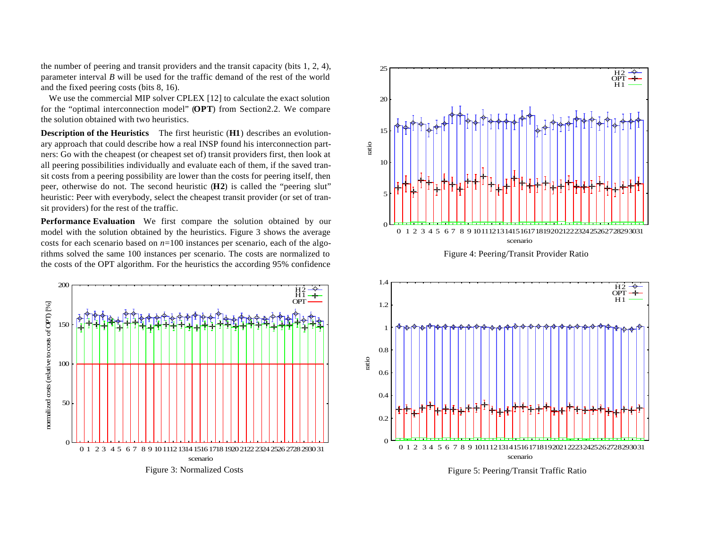the number of peering and transit providers and the transit capacity (bits 1, 2, 4), parameter interval *B* will be used for the traffic demand of the rest of the world and the fixed peering costs (bits 8, 16).

We use the commercial MIP solver CPLEX [12] to calculate the exact solution for the "optimal interconnection model" (**OPT**) from Section2.2. We compare the solution obtained with two heuristics.

**Description of the Heuristics** The first heuristic (**H1**) describes an evolutionary approach that could describe how a real INSP found his interconnection partners: Go with the cheapest (or cheapest set of) transit providers first, then look at all peering possibilities individually and evaluate each of them, if the saved transit costs from a peering possibility are lower than the costs for peering itself, then peer, otherwise do not. The second heuristic (**H2**) is called the "peering slut" heuristic: Peer with everybody, select the cheapest transit provider (or set of transit providers) for the rest of the traffic.

**Performance Evaluation** We first compare the solution obtained by our model with the solution obtained by the heuristics. Figure 3 shows the average costs for each scenario based on *n*=100 instances per scenario, each of the algorithms solved the same 100 instances per scenario. The costs are normalized to the costs of the OPT algorithm. For the heuristics the according 95% confidence









Figure 5: Peering/Transit Traffic Ratio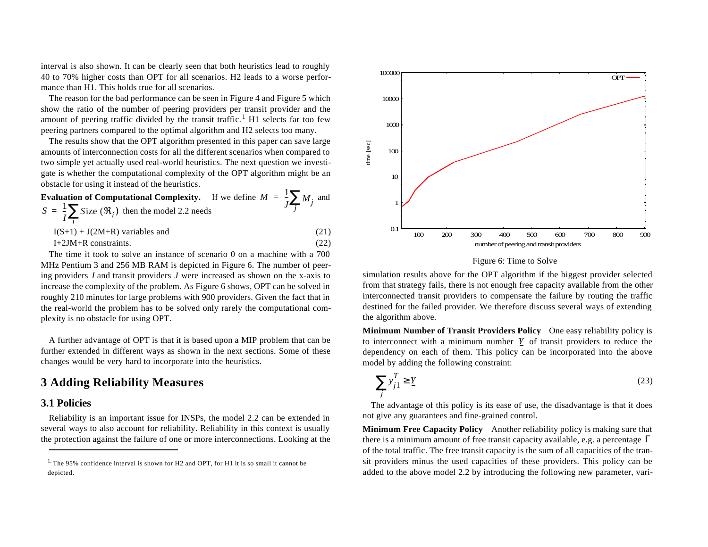interval is also shown. It can be clearly seen that both heuristics lead to roughly 40 to 70% higher costs than OPT for all scenarios. H2 leads to a worse performance than H1. This holds true for all scenarios.

The reason for the bad performance can be seen in Figure 4 and Figure 5 which show the ratio of the number of peering providers per transit provider and the amount of peering traffic divided by the transit traffic.<sup>1</sup> H1 selects far too few peering partners compared to the optimal algorithm and H2 selects too many.

The results show that the OPT algorithm presented in this paper can save large amounts of interconnection costs for all the different scenarios when compared to two simple yet actually used real-world heuristics. The next question we investigate is whether the computational complexity of the OPT algorithm might be an obstacle for using it instead of the heuristics.

**Evaluation of Computational Complexity.** If we define  $M = \frac{1}{2} \sum_{i=1}^{n} M_i$  and  $S = \frac{1}{2} \sum_{i}$  *S*ize  $(\Re_i)$  then the model 2.2 needs  $I(S+1) + J(2M+R)$  variables and (21)  $I+2JM+R$  constraints. (22)  $=\frac{1}{J}\sum_{j}M_{j}$  $\frac{1}{I}\sum_{i}$ Size ( $\Re_i$ )  $=\frac{1}{I}\sum_{i}$ 

The time it took to solve an instance of scenario 0 on a machine with a 700 MHz Pentium 3 and 256 MB RAM is depicted in Figure 6. The number of peering providers *I* and transit providers *J* were increased as shown on the x-axis to increase the complexity of the problem. As Figure 6 shows, OPT can be solved in roughly 210 minutes for large problems with 900 providers. Given the fact that in the real-world the problem has to be solved only rarely the computational complexity is no obstacle for using OPT.

A further advantage of OPT is that it is based upon a MIP problem that can be further extended in different ways as shown in the next sections. Some of these changes would be very hard to incorporate into the heuristics.

## **3 Adding Reliability Measures**

### **3.1 Policies**

Reliability is an important issue for INSPs, the model 2.2 can be extended in several ways to also account for reliability. Reliability in this context is usually the protection against the failure of one or more interconnections. Looking at the



#### Figure 6: Time to Solve

simulation results above for the OPT algorithm if the biggest provider selected from that strategy fails, there is not enough free capacity available from the other interconnected transit providers to compensate the failure by routing the traffic destined for the failed provider. We therefore discuss several ways of extending the algorithm above.

**Minimum Number of Transit Providers Policy** One easy reliability policy is to interconnect with a minimum number  $Y$  of transit providers to reduce the dependency on each of them. This policy can be incorporated into the above model by adding the following constraint:

$$
\sum_{j} y_{j1}^{T} \ge \underline{Y} \tag{23}
$$

The advantage of this policy is its ease of use, the disadvantage is that it does not give any guarantees and fine-grained control.

**Minimum Free Capacity Policy** Another reliability policy is making sure that there is a minimum amount of free transit capacity available, e.g. a percentage Γof the total traffic. The free transit capacity is the sum of all capacities of the transit providers minus the used capacities of these providers. This policy can be added to the above model 2.2 by introducing the following new parameter, vari-

<sup>&</sup>lt;sup>1.</sup> The 95% confidence interval is shown for H2 and OPT, for H1 it is so small it cannot be depicted.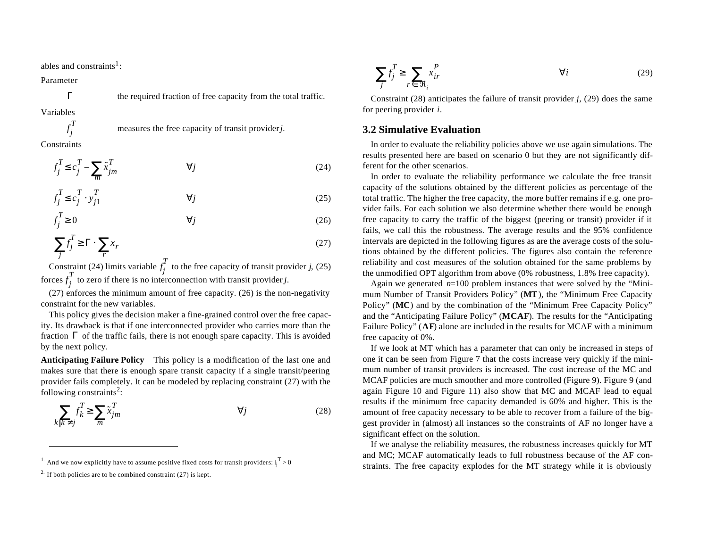ables and constraints<sup>1</sup>:

Parameter

Variables

*f j T*

Γ

**Constraints** 

$$
f_j^T \le c_j^T - \sum_m \tilde{x}_{jm}^T \qquad \qquad \forall j \tag{24}
$$

measures the free capacity of transit provider *j.*

the required fraction of free capacity from the total traffic.

$$
f_j^T \le c_j^T \cdot y_{j1}^T \qquad \qquad \forall j \tag{25}
$$

$$
f_j^T \ge 0 \qquad \qquad \forall j \tag{26}
$$

$$
\sum_{j} f_j^T \ge \Gamma \cdot \sum_{r} x_r \tag{27}
$$

Constraint (24) limits variable  $f_i^*$  to the free capacity of transit provider *j*, (25) forces  $f_i^*$  to zero if there is no interconnection with transit provider *j*. *f j T f j T*

(27) enforces the minimum amount of free capacity. (26) is the non-negativity constraint for the new variables.

This policy gives the decision maker a fine-grained control over the free capacity. Its drawback is that if one interconnected provider who carries more than the fraction  $\Gamma$  of the traffic fails, there is not enough spare capacity. This is avoided by the next policy.

**Anticipating Failure Policy** This policy is a modification of the last one and makes sure that there is enough spare transit capacity if a single transit/peering provider fails completely. It can be modeled by replacing constraint (27) with the following constraints<sup>2</sup>:

$$
\sum_{k \mid k \neq j} f_k^T \ge \sum_m \tilde{x}_{jm}^T \qquad \qquad \forall j \tag{28}
$$

$$
\sum_{j} f_j^T \ge \sum_{r \in \mathfrak{R}_i} x_{ir}^P \qquad \qquad \forall i \tag{29}
$$

Constraint (28) anticipates the failure of transit provider *j*, (29) does the same for peering provider *i*.

#### **3.2 Simulative Evaluation**

In order to evaluate the reliability policies above we use again simulations. The results presented here are based on scenario 0 but they are not significantly different for the other scenarios.

In order to evaluate the reliability performance we calculate the free transit capacity of the solutions obtained by the different policies as percentage of the total traffic. The higher the free capacity, the more buffer remains if e.g. one provider fails. For each solution we also determine whether there would be enough free capacity to carry the traffic of the biggest (peering or transit) provider if it fails, we call this the robustness. The average results and the 95% confidence intervals are depicted in the following figures as are the average costs of the solutions obtained by the different policies. The figures also contain the reference reliability and cost measures of the solution obtained for the same problems by the unmodified OPT algorithm from above (0% robustness, 1.8% free capacity).

Again we generated *n*=100 problem instances that were solved by the "Minimum Number of Transit Providers Policy" (**MT**), the "Minimum Free Capacity Policy" (**MC**) and by the combination of the "Minimum Free Capacity Policy" and the "Anticipating Failure Policy" (**MCAF**). The results for the "Anticipating Failure Policy" (**AF**) alone are included in the results for MCAF with a minimum free capacity of 0%.

If we look at MT which has a parameter that can only be increased in steps of one it can be seen from Figure 7 that the costs increase very quickly if the minimum number of transit providers is increased. The cost increase of the MC and MCAF policies are much smoother and more controlled (Figure 9). Figure 9 (and again Figure 10 and Figure 11) also show that MC and MCAF lead to equal results if the minimum free capacity demanded is 60% and higher. This is the amount of free capacity necessary to be able to recover from a failure of the biggest provider in (almost) all instances so the constraints of AF no longer have a significant effect on the solution.

If we analyse the reliability measures, the robustness increases quickly for MT and MC; MCAF automatically leads to full robustness because of the AF constraints. The free capacity explodes for the MT strategy while it is obviously

<sup>&</sup>lt;sup>1.</sup> And we now explicitly have to assume positive fixed costs for transit providers:  $l_i^T > 0$ 

<sup>&</sup>lt;sup>2.</sup> If both policies are to be combined constraint  $(27)$  is kept.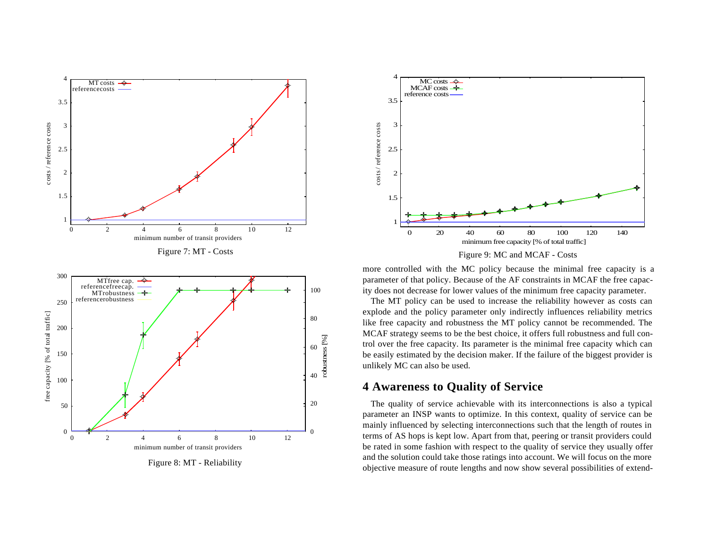

Figure 8: MT - Reliability





more controlled with the MC policy because the minimal free capacity is a parameter of that policy. Because of the AF constraints in MCAF the free capacity does not decrease for lower values of the minimum free capacity parameter.

The MT policy can be used to increase the reliability however as costs can explode and the policy parameter only indirectly influences reliability metrics like free capacity and robustness the MT policy cannot be recommended. The MCAF strategy seems to be the best choice, it offers full robustness and full control over the free capacity. Its parameter is the minimal free capacity which can be easily estimated by the decision maker. If the failure of the biggest provider is unlikely MC can also be used.

## **4 Awareness to Quality of Service**

The quality of service achievable with its interconnections is also a typical parameter an INSP wants to optimize. In this context, quality of service can be mainly influenced by selecting interconnections such that the length of routes in terms of AS hops is kept low. Apart from that, peering or transit providers could be rated in some fashion with respect to the quality of service they usually offer and the solution could take those ratings into account. We will focus on the more objective measure of route lengths and now show several possibilities of extend-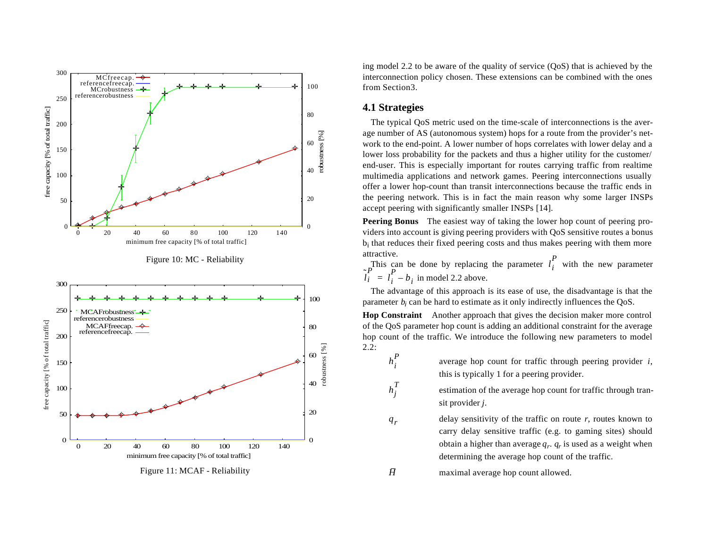





ing model 2.2 to be aware of the quality of service (QoS) that is achieved by the interconnection policy chosen. These extensions can be combined with the ones from Section3.

#### **4.1 Strategies**

*h i P*

 $h_j^T$ 

*qr*

*H*

The typical QoS metric used on the time-scale of interconnections is the average number of AS (autonomous system) hops for a route from the provider's network to the end-point. A lower number of hops correlates with lower delay and a lower loss probability for the packets and thus a higher utility for the customer/ end-user. This is especially important for routes carrying traffic from realtime multimedia applications and network games. Peering interconnections usually offer a lower hop-count than transit interconnections because the traffic ends in the peering network. This is in fact the main reason why some larger INSPs accept peering with significantly smaller INSPs [14].

**Peering Bonus** The easiest way of taking the lower hop count of peering providers into account is giving peering providers with QoS sensitive routes a bonus bi that reduces their fixed peering costs and thus makes peering with them more attractive.

This can be done by replacing the parameter  $l_i$  with the new parameter in model 2.2 above. *l i P*  $\tilde{l}$ <sub> $i$ </sub>  $\sum_{i=1}^{P} l_i^{\text{max}}$  $l_i^P - b_i$ 

The advantage of this approach is its ease of use, the disadvantage is that the parameter  $b_i$  can be hard to estimate as it only indirectly influences the  $QoS$ .

**Hop Constraint** Another approach that gives the decision maker more control of the QoS parameter hop count is adding an additional constraint for the average hop count of the traffic. We introduce the following new parameters to model 2.2:

- average hop count for traffic through peering provider *i*, this is typically 1 for a peering provider.
- estimation of the average hop count for traffic through transit provider *j*.
- delay sensitivity of the traffic on route  $r$ , routes known to carry delay sensitive traffic (e.g. to gaming sites) should obtain a higher than average *q<sup>r</sup>* . *q<sup>r</sup>* is used as a weight when determining the average hop count of the traffic.

maximal average hop count allowed.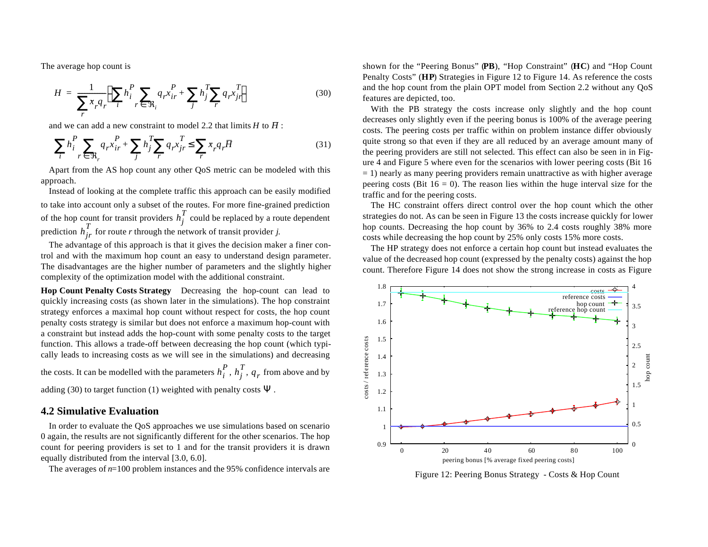The average hop count is

$$
H = \frac{1}{\sum_{r} \pi_{r} q_{r}} \left( \sum_{i} h_{i}^{P} \sum_{r \in \mathfrak{R}_{i}} q_{r} x_{ir}^{P} + \sum_{j} h_{j}^{T} \sum_{r} q_{r} x_{jr}^{T} \right)
$$
(30)

and we can add a new constraint to model 2.2 that limits  $H$  to  $\overline{H}$ :

$$
\sum_{i} h_i^P \sum_{r \in \mathfrak{R}_r} q_r x_{ir}^P + \sum_{j} h_j^T \sum_{r} q_r x_{jr}^T \le \sum_{r} x_r q_r \overline{H}
$$
\n(31)

Apart from the AS hop count any other QoS metric can be modeled with this approach.

Instead of looking at the complete traffic this approach can be easily modified to take into account only a subset of the routes. For more fine-grained prediction of the hop count for transit providers  $h_i^2$  could be replaced by a route dependent prediction  $h_{ir}^{\dagger}$  for route *r* through the network of transit provider *j*.  $h_j^T$  $h_{jr}^T$ 

The advantage of this approach is that it gives the decision maker a finer control and with the maximum hop count an easy to understand design parameter. The disadvantages are the higher number of parameters and the slightly higher complexity of the optimization model with the additional constraint.

**Hop Count Penalty Costs Strategy** Decreasing the hop-count can lead to quickly increasing costs (as shown later in the simulations). The hop constraint strategy enforces a maximal hop count without respect for costs, the hop count penalty costs strategy is similar but does not enforce a maximum hop-count with a constraint but instead adds the hop-count with some penalty costs to the target function. This allows a trade-off between decreasing the hop count (which typically leads to increasing costs as we will see in the simulations) and decreasing

the costs. It can be modelled with the parameters  $h_i^P$ ,  $h_j^T$ ,  $q_r$  from above and by

adding (30) to target function (1) weighted with penalty costs  $\Psi$ .

### **4.2 Simulative Evaluation**

In order to evaluate the QoS approaches we use simulations based on scenario 0 again, the results are not significantly different for the other scenarios. The hop count for peering providers is set to 1 and for the transit providers it is drawn equally distributed from the interval [3.0, 6.0].

The averages of *n*=100 problem instances and the 95% confidence intervals are

shown for the "Peering Bonus" (**PB**), "Hop Constraint" (**HC**) and "Hop Count Penalty Costs" (**HP**) Strategies in Figure 12 to Figure 14. As reference the costs and the hop count from the plain OPT model from Section 2.2 without any QoS features are depicted, too.

With the PB strategy the costs increase only slightly and the hop count decreases only slightly even if the peering bonus is 100% of the average peering costs. The peering costs per traffic within on problem instance differ obviously quite strong so that even if they are all reduced by an average amount many of the peering providers are still not selected. This effect can also be seen in in Figure 4 and Figure 5 where even for the scenarios with lower peering costs (Bit 16  $=$  1) nearly as many peering providers remain unattractive as with higher average peering costs (Bit  $16 = 0$ ). The reason lies within the huge interval size for the traffic and for the peering costs.

The HC constraint offers direct control over the hop count which the other strategies do not. As can be seen in Figure 13 the costs increase quickly for lower hop counts. Decreasing the hop count by 36% to 2.4 costs roughly 38% more costs while decreasing the hop count by 25% only costs 15% more costs.

The HP strategy does not enforce a certain hop count but instead evaluates the value of the decreased hop count (expressed by the penalty costs) against the hop count. Therefore Figure 14 does not show the strong increase in costs as Figure



Figure 12: Peering Bonus Strategy - Costs & Hop Count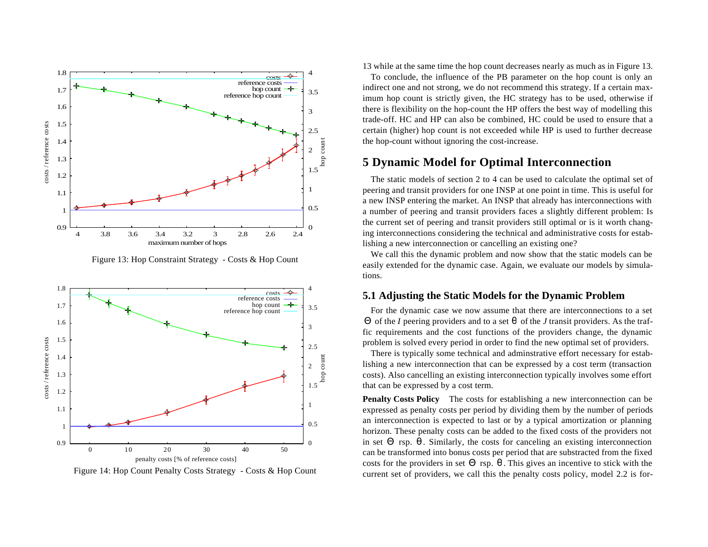

Figure 13: Hop Constraint Strategy - Costs & Hop Count



Figure 14: Hop Count Penalty Costs Strategy - Costs & Hop Count

13 while at the same time the hop count decreases nearly as much as in Figure 13.

To conclude, the influence of the PB parameter on the hop count is only an indirect one and not strong, we do not recommend this strategy. If a certain maximum hop count is strictly given, the HC strategy has to be used, otherwise if there is flexibility on the hop-count the HP offers the best way of modelling this trade-off. HC and HP can also be combined, HC could be used to ensure that a certain (higher) hop count is not exceeded while HP is used to further decrease the hop-count without ignoring the cost-increase.

### **5 Dynamic Model for Optimal Interconnection**

The static models of section 2 to 4 can be used to calculate the optimal set of peering and transit providers for one INSP at one point in time. This is useful for a new INSP entering the market. An INSP that already has interconnections with a number of peering and transit providers faces a slightly different problem: Is the current set of peering and transit providers still optimal or is it worth changing interconnections considering the technical and administrative costs for establishing a new interconnection or cancelling an existing one?

We call this the dynamic problem and now show that the static models can be easily extended for the dynamic case. Again, we evaluate our models by simulations.

### **5.1 Adjusting the Static Models for the Dynamic Problem**

For the dynamic case we now assume that there are interconnections to a set Θ of the *I* peering providers and to a set θ of the *J* transit providers. As the traffic requirements and the cost functions of the providers change, the dynamic problem is solved every period in order to find the new optimal set of providers.

There is typically some technical and adminstrative effort necessary for establishing a new interconnection that can be expressed by a cost term (transaction costs). Also cancelling an existing interconnection typically involves some effort that can be expressed by a cost term.

**Penalty Costs Policy** The costs for establishing a new interconnection can be expressed as penalty costs per period by dividing them by the number of periods an interconnection is expected to last or by a typical amortization or planning horizon. These penalty costs can be added to the fixed costs of the providers not in set  $\Theta$  rsp.  $\theta$ . Similarly, the costs for canceling an existing interconnection can be transformed into bonus costs per period that are substracted from the fixed costs for the providers in set  $\Theta$  rsp.  $\theta$ . This gives an incentive to stick with the current set of providers, we call this the penalty costs policy, model 2.2 is for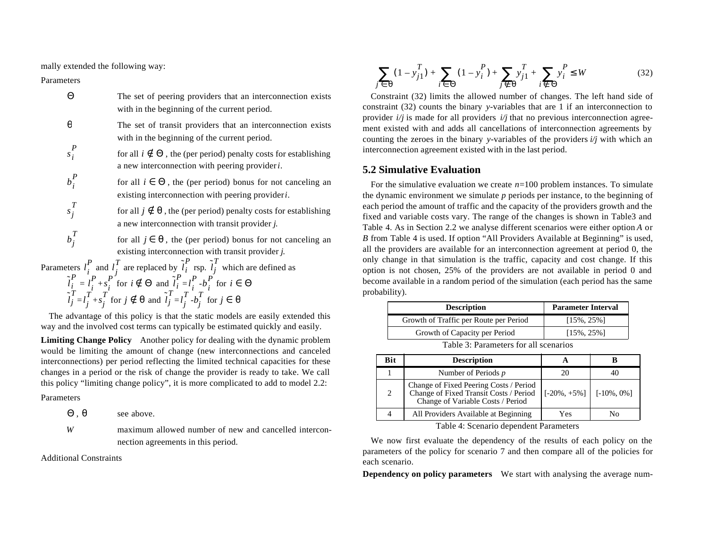mally extended the following way:

Parameters

| Θ       | The set of peering providers that an interconnection exists<br>with in the beginning of the current period.                           |
|---------|---------------------------------------------------------------------------------------------------------------------------------------|
| θ       | The set of transit providers that an interconnection exists<br>with in the beginning of the current period.                           |
| $s_i^P$ | for all $i \notin \Theta$ , the (per period) penalty costs for establishing<br>a new interconnection with peering provider <i>i</i> . |
| $b_i^P$ | for all $i \in \Theta$ , the (per period) bonus for not canceling an<br>existing interconnection with peering provider <i>i</i> .     |
| $s_i^T$ | for all $j \notin \theta$ , the (per period) penalty costs for establishing<br>a new interconnection with transit provider j.         |
| $b_i^T$ | for all $j \in \theta$ , the (per period) bonus for not canceling an<br>existing interconnection with transit provider j.             |
|         | Parameters $l_i^P$ and $l_j^T$ are replaced by $\tilde{l}_i^P$ rsp. $\tilde{l}_j^T$ which are defined as                              |
|         | $\tilde{l}_i^P = l_i^P + s_i^P$ for $i \notin \Theta$ and $\tilde{l}_i^P = l_i^P - b_i^P$ for $i \in \Theta$                          |

The advantage of this policy is that the static models are easily extended this way and the involved cost terms can typically be estimated quickly and easily.

 $\int_{i}^{T}$  for  $j \in \theta$ 

 $\int$ <sup>*T*</sup> *j d*</sup> *j*  $\int$ <sup>*T*</sup> $\cdot$ *b*<sup>*i*</sup></sup> $\int$ 

 $=l_i^* + s_i^*$  for  $j \notin \Theta$  and  $l_i = l_i^* - b_i^*$  for

 $\overline{T}_i$  for  $j \notin \theta$  and  $\tilde{l}_j^T$ 

**Limiting Change Policy** Another policy for dealing with the dynamic problem would be limiting the amount of change (new interconnections and canceled interconnections) per period reflecting the limited technical capacities for these changes in a period or the risk of change the provider is ready to take. We call this policy "limiting change policy", it is more complicated to add to model 2.2:

Parameters

*l* ˜ *j*  $\int$ <sup>*T*</sup> *j d*</sup> *j*  $\int_{j}^{T} + s_j^T$ 

- , see above.  $\Theta$ . $\theta$
- *W* maximum allowed number of new and cancelled interconnection agreements in this period.

Additional Constraints

$$
\sum_{j \in \Theta} (1 - y_{j1}^T) + \sum_{i \in \Theta} (1 - y_i^P) + \sum_{j \notin \Theta} y_{j1}^T + \sum_{i \notin \Theta} y_i^P \le W \tag{32}
$$

Constraint (32) limits the allowed number of changes. The left hand side of constraint (32) counts the binary *y*-variables that are 1 if an interconnection to provider  $i/j$  is made for all providers  $i/j$  that no previous interconnection agreement existed with and adds all cancellations of interconnection agreements by counting the zeroes in the binary *y*-variables of the providers  $i/j$  with which an interconnection agreement existed with in the last period.

#### **5.2 Simulative Evaluation**

For the simulative evaluation we create *n*=100 problem instances. To simulate the dynamic environment we simulate *p* periods per instance, to the beginning of each period the amount of traffic and the capacity of the providers growth and the fixed and variable costs vary. The range of the changes is shown in Table3 and Table 4. As in Section 2.2 we analyse different scenarios were either option *A* or *B* from Table 4 is used. If option "All Providers Available at Beginning" is used, all the providers are available for an interconnection agreement at period 0, the only change in that simulation is the traffic, capacity and cost change. If this option is not chosen, 25% of the providers are not available in period 0 and become available in a random period of the simulation (each period has the same probability).

| <b>Description</b>                     | <b>Parameter Interval</b> |
|----------------------------------------|---------------------------|
| Growth of Traffic per Route per Period | $[15\%, 25\%]$            |
| Growth of Capacity per Period          | $[15\%, 25\%]$            |
|                                        |                           |

| Table 3: Parameters for all scenarios |  |  |
|---------------------------------------|--|--|
|---------------------------------------|--|--|

| Bit | <b>Description</b>                                                                                                    |                                                     |    |
|-----|-----------------------------------------------------------------------------------------------------------------------|-----------------------------------------------------|----|
|     | Number of Periods $p$                                                                                                 |                                                     |    |
| 2   | Change of Fixed Peering Costs / Period<br>Change of Fixed Transit Costs / Period<br>Change of Variable Costs / Period | $\lfloor 5-20\% + 5\% \rfloor \rfloor$ [-10\%, 0\%] |    |
|     | All Providers Available at Beginning                                                                                  | Yes                                                 | Nο |

Table 4: Scenario dependent Parameters

We now first evaluate the dependency of the results of each policy on the parameters of the policy for scenario 7 and then compare all of the policies for each scenario.

**Dependency on policy parameters** We start with analysing the average num-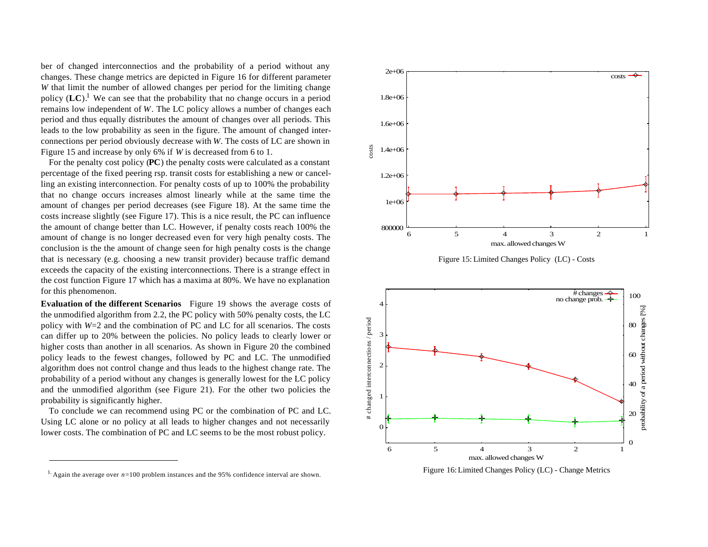ber of changed interconnectios and the probability of a period without any changes. These change metrics are depicted in Figure 16 for different parameter *W* that limit the number of allowed changes per period for the limiting change policy  $(LC)^{1}$ . We can see that the probability that no change occurs in a period remains low independent of *W*. The LC policy allows a number of changes each period and thus equally distributes the amount of changes over all periods. This leads to the low probability as seen in the figure. The amount of changed interconnections per period obviously decrease with *W*. The costs of LC are shown in Figure 15 and increase by only 6% if *W* is decreased from 6 to 1.

For the penalty cost policy (**PC**) the penalty costs were calculated as a constant percentage of the fixed peering rsp. transit costs for establishing a new or cancelling an existing interconnection. For penalty costs of up to 100% the probability that no change occurs increases almost linearly while at the same time the amount of changes per period decreases (see Figure 18). At the same time the costs increase slightly (see Figure 17). This is a nice result, the PC can influence the amount of change better than LC. However, if penalty costs reach 100% the amount of change is no longer decreased even for very high penalty costs. The conclusion is the the amount of change seen for high penalty costs is the change that is necessary (e.g. choosing a new transit provider) because traffic demand exceeds the capacity of the existing interconnections. There is a strange effect in the cost function Figure 17 which has a maxima at 80%. We have no explanation for this phenomenon.

**Evaluation of the different Scenarios** Figure 19 shows the average costs of the unmodified algorithm from 2.2, the PC policy with 50% penalty costs, the LC policy with *W*=2 and the combination of PC and LC for all scenarios. The costs can differ up to 20% between the policies. No policy leads to clearly lower or higher costs than another in all scenarios. As shown in Figure 20 the combined policy leads to the fewest changes, followed by PC and LC. The unmodified algorithm does not control change and thus leads to the highest change rate. The probability of a period without any changes is generally lowest for the LC policy and the unmodified algorithm (see Figure 21). For the other two policies the probability is significantly higher.

To conclude we can recommend using PC or the combination of PC and LC. Using LC alone or no policy at all leads to higher changes and not necessarily lower costs. The combination of PC and LC seems to be the most robust policy.







Figure 16: Limited Changes Policy (LC) - Change Metrics

<sup>&</sup>lt;sup>1.</sup> Again the average over  $n=100$  problem instances and the 95% confidence interval are shown.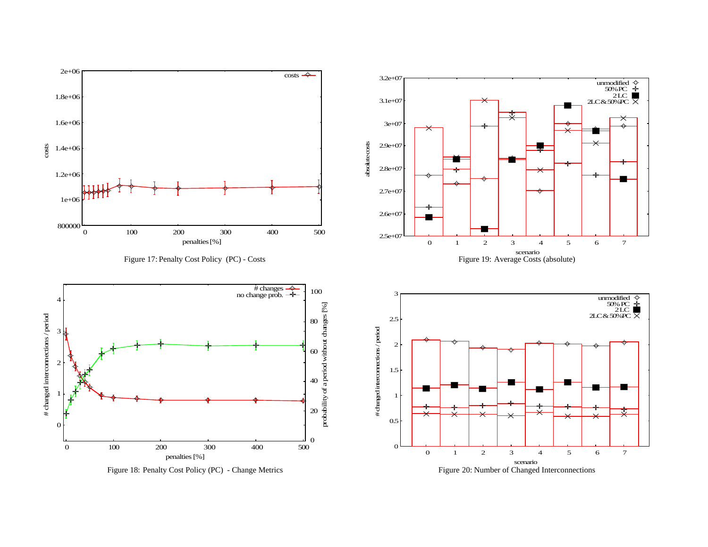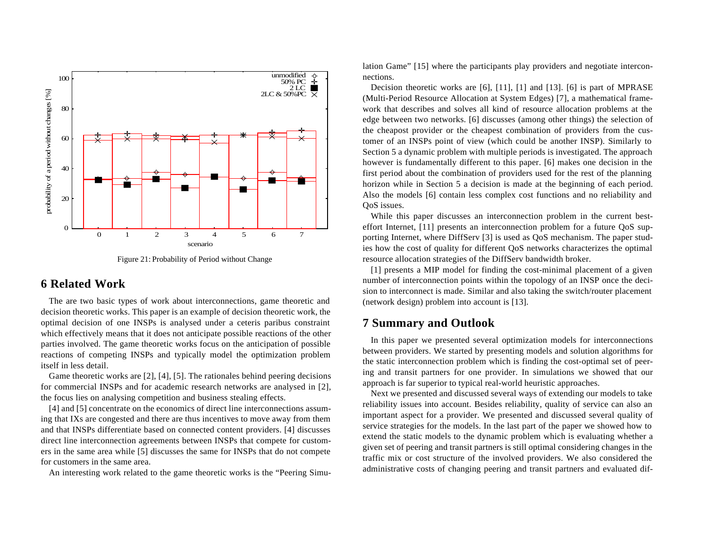

Figure 21: Probability of Period without Change

## **6 Related Work**

The are two basic types of work about interconnections, game theoretic and decision theoretic works. This paper is an example of decision theoretic work, the optimal decision of one INSPs is analysed under a ceteris paribus constraint which effectively means that it does not anticipate possible reactions of the other parties involved. The game theoretic works focus on the anticipation of possible reactions of competing INSPs and typically model the optimization problem itself in less detail.

Game theoretic works are [2], [4], [5]. The rationales behind peering decisions for commercial INSPs and for academic research networks are analysed in [2], the focus lies on analysing competition and business stealing effects.

[4] and [5] concentrate on the economics of direct line interconnections assuming that IXs are congested and there are thus incentives to move away from them and that INSPs differentiate based on connected content providers. [4] discusses direct line interconnection agreements between INSPs that compete for customers in the same area while [5] discusses the same for INSPs that do not compete for customers in the same area.

An interesting work related to the game theoretic works is the "Peering Simu-

lation Game" [15] where the participants play providers and negotiate interconnections.

Decision theoretic works are [6], [11], [1] and [13]. [6] is part of MPRASE (Multi-Period Resource Allocation at System Edges) [7], a mathematical framework that describes and solves all kind of resource allocation problems at the edge between two networks. [6] discusses (among other things) the selection of the cheapost provider or the cheapest combination of providers from the customer of an INSPs point of view (which could be another INSP). Similarly to Section 5 a dynamic problem with multiple periods is investigated. The approach however is fundamentally different to this paper. [6] makes one decision in the first period about the combination of providers used for the rest of the planning horizon while in Section 5 a decision is made at the beginning of each period. Also the models [6] contain less complex cost functions and no reliability and QoS issues.

While this paper discusses an interconnection problem in the current besteffort Internet, [11] presents an interconnection problem for a future QoS supporting Internet, where DiffServ [3] is used as QoS mechanism. The paper studies how the cost of quality for different QoS networks characterizes the optimal resource allocation strategies of the DiffServ bandwidth broker.

[1] presents a MIP model for finding the cost-minimal placement of a given number of interconnection points within the topology of an INSP once the decision to interconnect is made. Similar and also taking the switch/router placement (network design) problem into account is [13].

## **7 Summary and Outlook**

In this paper we presented several optimization models for interconnections between providers. We started by presenting models and solution algorithms for the static interconnection problem which is finding the cost-optimal set of peering and transit partners for one provider. In simulations we showed that our approach is far superior to typical real-world heuristic approaches.

Next we presented and discussed several ways of extending our models to take reliability issues into account. Besides reliability, quality of service can also an important aspect for a provider. We presented and discussed several quality of service strategies for the models. In the last part of the paper we showed how to extend the static models to the dynamic problem which is evaluating whether a given set of peering and transit partners is still optimal considering changes in the traffic mix or cost structure of the involved providers. We also considered the administrative costs of changing peering and transit partners and evaluated dif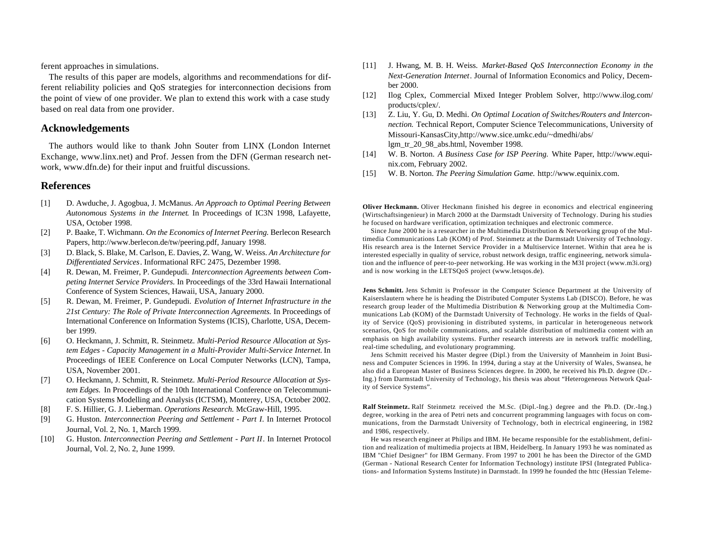ferent approaches in simulations.

The results of this paper are models, algorithms and recommendations for different reliability policies and QoS strategies for interconnection decisions from the point of view of one provider. We plan to extend this work with a case study based on real data from one provider.

### **Acknowledgements**

The authors would like to thank John Souter from LINX (London Internet Exchange, www.linx.net) and Prof. Jessen from the DFN (German research network, www.dfn.de) for their input and fruitful discussions.

#### **References**

- [1] D. Awduche, J. Agogbua, J. McManus. *An Approach to Optimal Peering Between Autonomous Systems in the Internet*. In Proceedings of IC3N 1998, Lafayette, USA, October 1998.
- [2] P. Baake, T. Wichmann. *On the Economics of Internet Peering.* Berlecon Research Papers, http://www.berlecon.de/tw/peering.pdf, January 1998.
- [3] D. Black, S. Blake, M. Carlson, E. Davies, Z. Wang, W. Weiss. *An Architecture for Differentiated Services*. Informational RFC 2475, Dezember 1998.
- [4] R. Dewan, M. Freimer, P. Gundepudi. *Interconnection Agreements between Competing Internet Service Providers.* In Proceedings of the 33rd Hawaii International Conference of System Sciences, Hawaii, USA, January 2000.
- [5] R. Dewan, M. Freimer, P. Gundepudi. *Evolution of Internet Infrastructure in the 21st Century: The Role of Private Interconnection Agreements.* In Proceedings of International Conference on Information Systems (ICIS), Charlotte, USA, December 1999.
- [6] O. Heckmann, J. Schmitt, R. Steinmetz. *Multi-Period Resource Allocation at System Edges - Capacity Management in a Multi-Provider Multi-Service Internet.* In Proceedings of IEEE Conference on Local Computer Networks (LCN), Tampa, USA, November 2001.
- [7] O. Heckmann, J. Schmitt, R. Steinmetz. *Multi-Period Resource Allocation at System Edges.* In Proceedings of the 10th International Conference on Telecommunication Systems Modelling and Analysis (ICTSM), Monterey, USA, October 2002.
- [8] F. S. Hillier, G. J. Lieberman. *Operations Research.* McGraw-Hill, 1995.
- [9] G. Huston. *Interconnection Peering and Settlement Part I*. In Internet Protocol Journal, Vol. 2, No. 1, March 1999.
- [10] G. Huston. *Interconnection Peering and Settlement Part II*. In Internet Protocol Journal, Vol. 2, No. 2, June 1999.
- [11] J. Hwang, M. B. H. Weiss. *Market-Based QoS Interconnection Economy in the Next-Generation Internet*. Journal of Information Economics and Policy, December 2000.
- [12] Ilog Cplex, Commercial Mixed Integer Problem Solver, http://www.ilog.com/ products/cplex/.
- [13] Z. Liu, Y. Gu, D. Medhi. *On Optimal Location of Switches/Routers and Interconnection.* Technical Report, Computer Science Telecommunications, University of Missouri-KansasCity,http://www.sice.umkc.edu/~dmedhi/abs/ lgm\_tr\_20\_98\_abs.html, November 1998.
- [14] W. B. Norton. *A Business Case for ISP Peering.* White Paper, http://www.equinix.com, February 2002.
- [15] W. B. Norton. *The Peering Simulation Game.* http://www.equinix.com.

**Oliver Heckmann.** Oliver Heckmann finished his degree in economics and electrical engineering (Wirtschaftsingenieur) in March 2000 at the Darmstadt University of Technology. During his studies he focused on hardware verification, optimization techniques and electronic commerce.

Since June 2000 he is a researcher in the Multimedia Distribution & Networking group of the Multimedia Communications Lab (KOM) of Prof. Steinmetz at the Darmstadt University of Technology. His research area is the Internet Service Provider in a Multiservice Internet. Within that area he is interested especially in quality of service, robust network design, traffic engineering, network simulation and the influence of peer-to-peer networking. He was working in the M3I project (www.m3i.org) and is now working in the LETSQoS project (www.letsqos.de).

**Jens Schmitt.** Jens Schmitt is Professor in the Computer Science Department at the University of Kaiserslautern where he is heading the Distributed Computer Systems Lab (DISCO). Before, he was research group leader of the Multimedia Distribution & Networking group at the Multimedia Communications Lab (KOM) of the Darmstadt University of Technology. He works in the fields of Quality of Service (QoS) provisioning in distributed systems, in particular in heterogeneous network scenarios, QoS for mobile communications, and scalable distribution of multimedia content with an emphasis on high availability systems. Further research interests are in network traffic modelling, real-time scheduling, and evolutionary programming.

Jens Schmitt received his Master degree (Dipl.) from the University of Mannheim in Joint Business and Computer Sciences in 1996. In 1994, during a stay at the University of Wales, Swansea, he also did a European Master of Business Sciences degree. In 2000, he received his Ph.D. degree (Dr.- Ing.) from Darmstadt University of Technology, his thesis was about "Heterogeneous Network Quality of Service Systems".

**Ralf Steinmetz.** Ralf Steinmetz received the M.Sc. (Dipl.-Ing.) degree and the Ph.D. (Dr.-Ing.) degree, working in the area of Petri nets and concurrent programming languages with focus on communications, from the Darmstadt University of Technology, both in electrical engineering, in 1982 and 1986, respectively.

He was research engineer at Philips and IBM. He became responsible for the establishment, definition and realization of multimedia projects at IBM, Heidelberg. In January 1993 he was nominated as IBM "Chief Designer" for IBM Germany. From 1997 to 2001 he has been the Director of the GMD (German - National Research Center for Information Technology) institute IPSI (Integrated Publications- and Information Systems Institute) in Darmstadt. In 1999 he founded the httc (Hessian Teleme